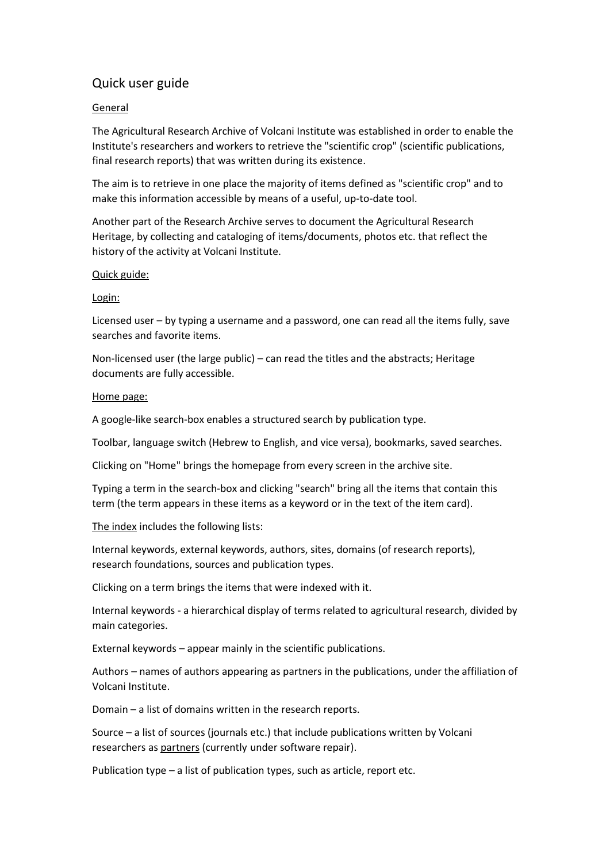# Quick user guide

# General

The Agricultural Research Archive of Volcani Institute was established in order to enable the Institute's researchers and workers to retrieve the "scientific crop" (scientific publications, final research reports) that was written during its existence.

The aim is to retrieve in one place the majority of items defined as "scientific crop" and to make this information accessible by means of a useful, up-to-date tool.

Another part of the Research Archive serves to document the Agricultural Research Heritage, by collecting and cataloging of items/documents, photos etc. that reflect the history of the activity at Volcani Institute.

#### Quick guide:

#### Login:

Licensed user – by typing a username and a password, one can read all the items fully, save searches and favorite items.

Non-licensed user (the large public) – can read the titles and the abstracts; Heritage documents are fully accessible.

#### Home page:

A google-like search-box enables a structured search by publication type.

Toolbar, language switch (Hebrew to English, and vice versa), bookmarks, saved searches.

Clicking on "Home" brings the homepage from every screen in the archive site.

Typing a term in the search-box and clicking "search" bring all the items that contain this term (the term appears in these items as a keyword or in the text of the item card).

The index includes the following lists:

Internal keywords, external keywords, authors, sites, domains (of research reports), research foundations, sources and publication types.

Clicking on a term brings the items that were indexed with it.

Internal keywords - a hierarchical display of terms related to agricultural research, divided by main categories.

External keywords – appear mainly in the scientific publications.

Authors – names of authors appearing as partners in the publications, under the affiliation of Volcani Institute.

Domain – a list of domains written in the research reports.

Source – a list of sources (journals etc.) that include publications written by Volcani researchers as partners (currently under software repair).

Publication type – a list of publication types, such as article, report etc.